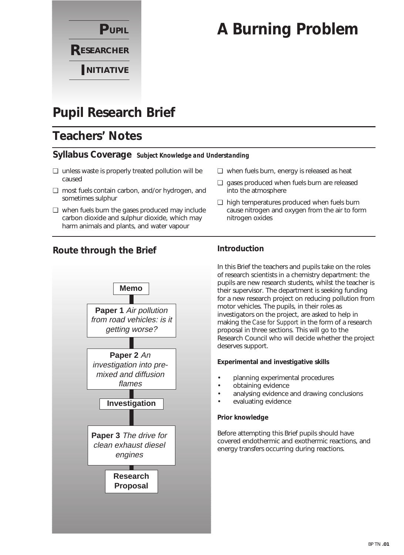

# **A Burning Problem**

# **Pupil Research Brief**

# **Teachers' Notes**

### **Syllabus Coverage** *Subject Knowledge and Understanding*

- ❏ unless waste is properly treated pollution will be caused
- ❏ most fuels contain carbon, and/or hydrogen, and sometimes sulphur
- ❏ when fuels burn the gases produced may include carbon dioxide and sulphur dioxide, which may harm animals and plants, and water vapour
- ❏ when fuels burn, energy is released as heat
- ❏ gases produced when fuels burn are released into the atmosphere
- ❏ high temperatures produced when fuels burn cause nitrogen and oxygen from the air to form nitrogen oxides

### **Route through the Brief**



### **Introduction**

In this Brief the teachers and pupils take on the roles of research scientists in a chemistry department: the pupils are new research students, whilst the teacher is their supervisor. The department is seeking funding for a new research project on reducing pollution from motor vehicles. The pupils, in their roles as investigators on the project, are asked to help in making the *Case for Support* in the form of a research proposal in three sections. This will go to the Research Council who will decide whether the project deserves support.

#### **Experimental and investigative skills**

- planning experimental procedures
- obtaining evidence
- analysing evidence and drawing conclusions
- evaluating evidence

#### **Prior knowledge**

Before attempting this Brief pupils should have covered endothermic and exothermic reactions, and energy transfers occurring during reactions.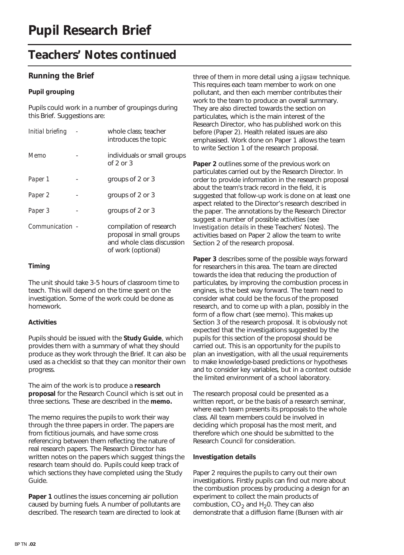## **Teachers' Notes continued**

### **Running the Brief**

#### **Pupil grouping**

Pupils could work in a number of groupings during this Brief. Suggestions are:

| Initial briefing | whole class; teacher<br>introduces the topic                                                            |
|------------------|---------------------------------------------------------------------------------------------------------|
| Memo             | individuals or small groups<br>of $2$ or $3$                                                            |
| Paper 1          | groups of 2 or 3                                                                                        |
| Paper 2          | groups of 2 or 3                                                                                        |
| Paper 3          | groups of 2 or 3                                                                                        |
| Communication -  | compilation of research<br>proposal in small groups<br>and whole class discussion<br>of work (optional) |

#### **Timing**

The unit should take 3-5 hours of classroom time to teach. This will depend on the time spent on the investigation. Some of the work could be done as homework.

#### **Activities**

Pupils should be issued with the **Study Guide**, which provides them with a summary of what they should produce as they work through the Brief. It can also be used as a checklist so that they can monitor their own progress.

The aim of the work is to produce a **research proposal** for the Research Council which is set out in three sections. These are described in the **memo.** 

The memo requires the pupils to work their way through the three papers in order. The papers are from fictitious journals, and have some cross referencing between them reflecting the nature of real research papers. The Research Director has written notes on the papers which suggest things the research team should do. Pupils could keep track of which sections they have completed using the Study Guide.

**Paper 1** outlines the issues concerning air pollution caused by burning fuels. A number of pollutants are described. The research team are directed to look at three of them in more detail using a *jigsaw* technique. This requires each team member to work on one pollutant, and then each member contributes their work to the team to produce an overall summary. They are also directed towards the section on particulates, which is the main interest of the Research Director, who has published work on this before (Paper 2). Health related issues are also emphasised. Work done on Paper 1 allows the team to write Section 1 of the research proposal.

**Paper 2** outlines some of the previous work on particulates carried out by the Research Director. In order to provide information in the research proposal about the team's track record in the field, it is suggested that follow-up work is done on at least one aspect related to the Director's research described in the paper. The annotations by the Research Director suggest a number of possible activities (see *Investigation details* in these Teachers' Notes). The activities based on Paper 2 allow the team to write Section 2 of the research proposal.

**Paper 3** describes some of the possible ways forward for researchers in this area. The team are directed towards the idea that reducing the production of particulates, by improving the combustion process in engines, is the best way forward. The team need to consider what could be the focus of the proposed research, and to come up with a plan, possibly in the form of a flow chart (see memo). This makes up Section 3 of the research proposal. It is obviously not expected that the investigations suggested by the pupils for this section of the proposal should be carried out. This is an opportunity for the pupils to plan an investigation, with all the usual requirements to make knowledge-based predictions or hypotheses and to consider key variables, but in a context outside the limited environment of a school laboratory.

The research proposal could be presented as a written report, or be the basis of a research seminar, where each team presents its proposals to the whole class. All team members could be involved in deciding which proposal has the most merit, and therefore which one should be submitted to the Research Council for consideration.

#### **Investigation details**

Paper 2 requires the pupils to carry out their own investigations. Firstly pupils can find out more about the combustion process by producing a design for an experiment to collect the main products of combustion,  $CO<sub>2</sub>$  and H<sub>2</sub>0. They can also demonstrate that a diffusion flame (Bunsen with air